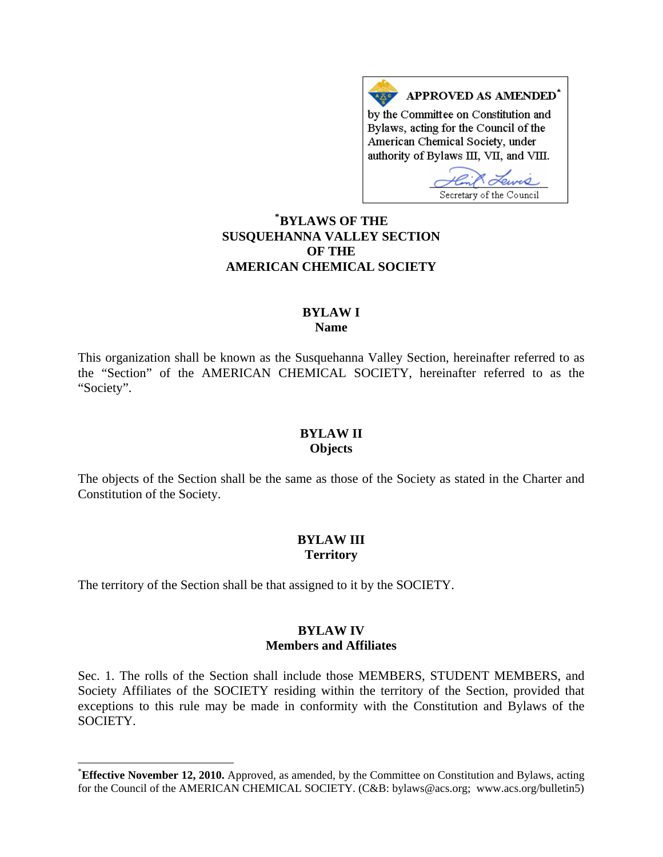APPROVED AS AMENDED\* by the Committee on Constitution and Bylaws, acting for the Council of the American Chemical Society, under authority of Bylaws III, VII, and VIII.

Lewis Secretary of the Council

# **\* [BYLAWS OF THE](#page-0-0)  SUSQUEHANNA VALLEY SECTION OF THE AMERICAN CHEMICAL SOCIETY**

#### **BYLAW I Name**

This organization shall be known as the Susquehanna Valley Section, hereinafter referred to as the "Section" of the AMERICAN CHEMICAL SOCIETY, hereinafter referred to as the "Society".

#### **BYLAW II Objects**

The objects of the Section shall be the same as those of the Society as stated in the Charter and Constitution of the Society.

# **BYLAW III Territory**

The territory of the Section shall be that assigned to it by the SOCIETY.

 $\overline{\phantom{a}}$ 

### **BYLAW IV Members and Affiliates**

Sec. 1. The rolls of the Section shall include those MEMBERS, STUDENT MEMBERS, and Society Affiliates of the SOCIETY residing within the territory of the Section, provided that exceptions to this rule may be made in conformity with the Constitution and Bylaws of the SOCIETY.

<span id="page-0-0"></span><sup>\*</sup> **Effective November 12, 2010.** Approved, as amended, by the Committee on Constitution and Bylaws, acting for the Council of the AMERICAN CHEMICAL SOCIETY. (C&B: bylaws@acs.org; www.acs.org/bulletin5)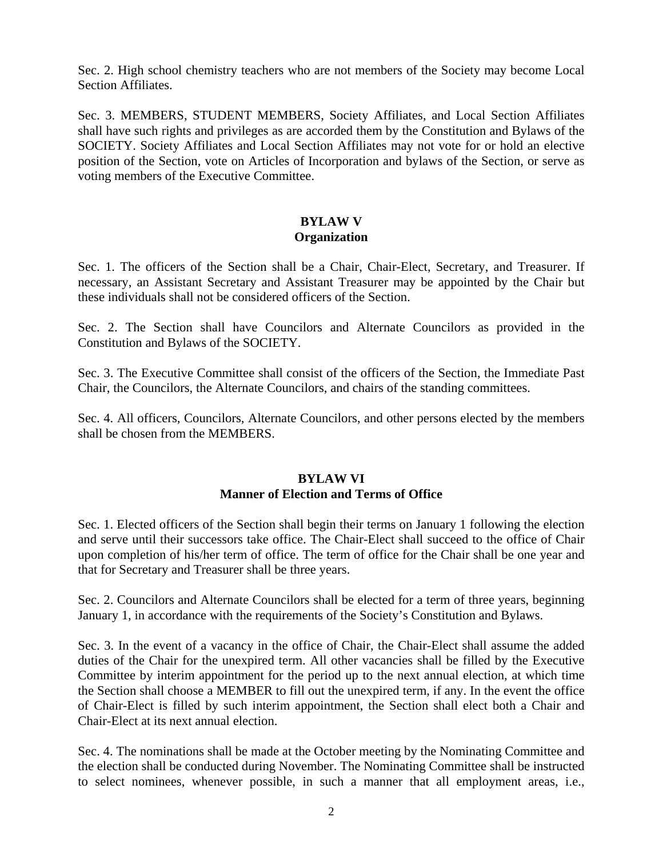Sec. 2. High school chemistry teachers who are not members of the Society may become Local Section Affiliates.

Sec. 3. MEMBERS, STUDENT MEMBERS, Society Affiliates, and Local Section Affiliates shall have such rights and privileges as are accorded them by the Constitution and Bylaws of the SOCIETY. Society Affiliates and Local Section Affiliates may not vote for or hold an elective position of the Section, vote on Articles of Incorporation and bylaws of the Section, or serve as voting members of the Executive Committee.

# **BYLAW V Organization**

Sec. 1. The officers of the Section shall be a Chair, Chair-Elect, Secretary, and Treasurer. If necessary, an Assistant Secretary and Assistant Treasurer may be appointed by the Chair but these individuals shall not be considered officers of the Section.

Sec. 2. The Section shall have Councilors and Alternate Councilors as provided in the Constitution and Bylaws of the SOCIETY.

Sec. 3. The Executive Committee shall consist of the officers of the Section, the Immediate Past Chair, the Councilors, the Alternate Councilors, and chairs of the standing committees.

Sec. 4. All officers, Councilors, Alternate Councilors, and other persons elected by the members shall be chosen from the MEMBERS.

### **BYLAW VI Manner of Election and Terms of Office**

Sec. 1. Elected officers of the Section shall begin their terms on January 1 following the election and serve until their successors take office. The Chair-Elect shall succeed to the office of Chair upon completion of his/her term of office. The term of office for the Chair shall be one year and that for Secretary and Treasurer shall be three years.

Sec. 2. Councilors and Alternate Councilors shall be elected for a term of three years, beginning January 1, in accordance with the requirements of the Society's Constitution and Bylaws.

Sec. 3. In the event of a vacancy in the office of Chair, the Chair-Elect shall assume the added duties of the Chair for the unexpired term. All other vacancies shall be filled by the Executive Committee by interim appointment for the period up to the next annual election, at which time the Section shall choose a MEMBER to fill out the unexpired term, if any. In the event the office of Chair-Elect is filled by such interim appointment, the Section shall elect both a Chair and Chair-Elect at its next annual election.

Sec. 4. The nominations shall be made at the October meeting by the Nominating Committee and the election shall be conducted during November. The Nominating Committee shall be instructed to select nominees, whenever possible, in such a manner that all employment areas, i.e.,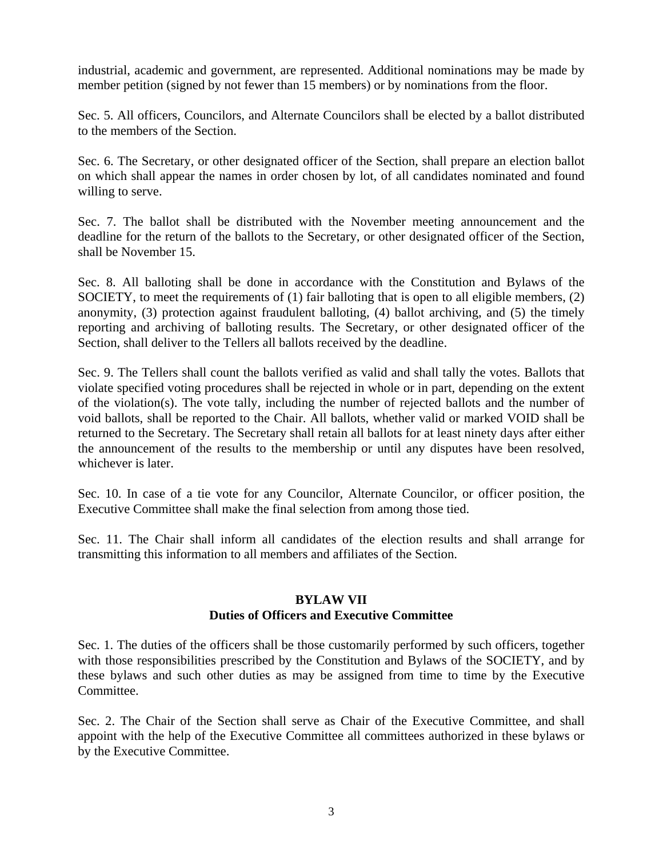industrial, academic and government, are represented. Additional nominations may be made by member petition (signed by not fewer than 15 members) or by nominations from the floor.

Sec. 5. All officers, Councilors, and Alternate Councilors shall be elected by a ballot distributed to the members of the Section.

Sec. 6. The Secretary, or other designated officer of the Section, shall prepare an election ballot on which shall appear the names in order chosen by lot, of all candidates nominated and found willing to serve.

Sec. 7. The ballot shall be distributed with the November meeting announcement and the deadline for the return of the ballots to the Secretary, or other designated officer of the Section, shall be November 15.

Sec. 8. All balloting shall be done in accordance with the Constitution and Bylaws of the SOCIETY, to meet the requirements of (1) fair balloting that is open to all eligible members, (2) anonymity, (3) protection against fraudulent balloting, (4) ballot archiving, and (5) the timely reporting and archiving of balloting results. The Secretary, or other designated officer of the Section, shall deliver to the Tellers all ballots received by the deadline.

Sec. 9. The Tellers shall count the ballots verified as valid and shall tally the votes. Ballots that violate specified voting procedures shall be rejected in whole or in part, depending on the extent of the violation(s). The vote tally, including the number of rejected ballots and the number of void ballots, shall be reported to the Chair. All ballots, whether valid or marked VOID shall be returned to the Secretary. The Secretary shall retain all ballots for at least ninety days after either the announcement of the results to the membership or until any disputes have been resolved, whichever is later.

Sec. 10. In case of a tie vote for any Councilor, Alternate Councilor, or officer position, the Executive Committee shall make the final selection from among those tied.

Sec. 11. The Chair shall inform all candidates of the election results and shall arrange for transmitting this information to all members and affiliates of the Section.

#### **BYLAW VII**

# **Duties of Officers and Executive Committee**

Sec. 1. The duties of the officers shall be those customarily performed by such officers, together with those responsibilities prescribed by the Constitution and Bylaws of the SOCIETY, and by these bylaws and such other duties as may be assigned from time to time by the Executive Committee.

Sec. 2. The Chair of the Section shall serve as Chair of the Executive Committee, and shall appoint with the help of the Executive Committee all committees authorized in these bylaws or by the Executive Committee.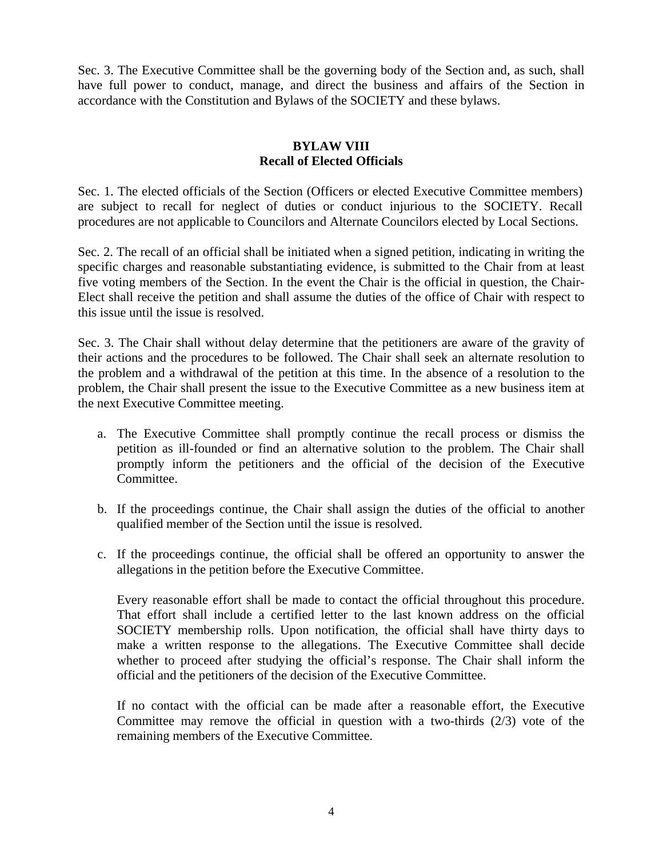Sec. 3. The Executive Committee shall be the governing body of the Section and, as such, shall have full power to conduct, manage, and direct the business and affairs of the Section in accordance with the Constitution and Bylaws of the SOCIETY and these bylaws.

# **BYLAW VIII Recall of Elected Officials**

Sec. 1. The elected officials of the Section (Officers or elected Executive Committee members) are subject to recall for neglect of duties or conduct injurious to the SOCIETY. Recall procedures are not applicable to Councilors and Alternate Councilors elected by Local Sections.

Sec. 2. The recall of an official shall be initiated when a signed petition, indicating in writing the specific charges and reasonable substantiating evidence, is submitted to the Chair from at least five voting members of the Section. In the event the Chair is the official in question, the Chair-Elect shall receive the petition and shall assume the duties of the office of Chair with respect to this issue until the issue is resolved.

Sec. 3. The Chair shall without delay determine that the petitioners are aware of the gravity of their actions and the procedures to be followed. The Chair shall seek an alternate resolution to the problem and a withdrawal of the petition at this time. In the absence of a resolution to the problem, the Chair shall present the issue to the Executive Committee as a new business item at the next Executive Committee meeting.

- a. The Executive Committee shall promptly continue the recall process or dismiss the petition as ill-founded or find an alternative solution to the problem. The Chair shall promptly inform the petitioners and the official of the decision of the Executive Committee.
- b. If the proceedings continue, the Chair shall assign the duties of the official to another qualified member of the Section until the issue is resolved.
- c. If the proceedings continue, the official shall be offered an opportunity to answer the allegations in the petition before the Executive Committee.

Every reasonable effort shall be made to contact the official throughout this procedure. That effort shall include a certified letter to the last known address on the official SOCIETY membership rolls. Upon notification, the official shall have thirty days to make a written response to the allegations. The Executive Committee shall decide whether to proceed after studying the official's response. The Chair shall inform the official and the petitioners of the decision of the Executive Committee.

If no contact with the official can be made after a reasonable effort, the Executive Committee may remove the official in question with a two-thirds (2/3) vote of the remaining members of the Executive Committee.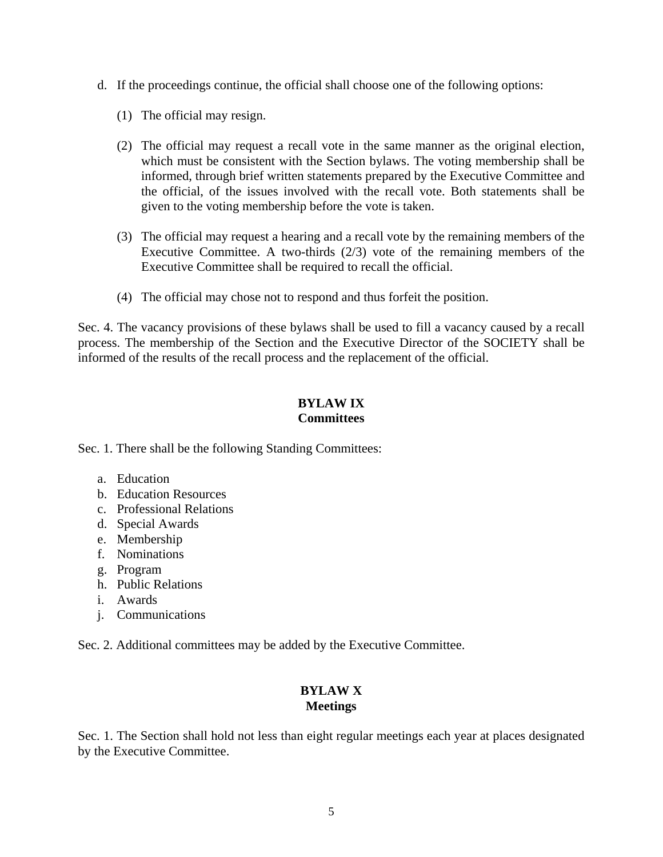- d. If the proceedings continue, the official shall choose one of the following options:
	- (1) The official may resign.
	- (2) The official may request a recall vote in the same manner as the original election, which must be consistent with the Section bylaws. The voting membership shall be informed, through brief written statements prepared by the Executive Committee and the official, of the issues involved with the recall vote. Both statements shall be given to the voting membership before the vote is taken.
	- (3) The official may request a hearing and a recall vote by the remaining members of the Executive Committee. A two-thirds (2/3) vote of the remaining members of the Executive Committee shall be required to recall the official.
	- (4) The official may chose not to respond and thus forfeit the position.

Sec. 4. The vacancy provisions of these bylaws shall be used to fill a vacancy caused by a recall process. The membership of the Section and the Executive Director of the SOCIETY shall be informed of the results of the recall process and the replacement of the official.

# **BYLAW IX Committees**

Sec. 1. There shall be the following Standing Committees:

- a. Education
- b. Education Resources
- c. Professional Relations
- d. Special Awards
- e. Membership
- f. Nominations
- g. Program
- h. Public Relations
- i. Awards
- j. Communications

Sec. 2. Additional committees may be added by the Executive Committee.

# **BYLAW X Meetings**

Sec. 1. The Section shall hold not less than eight regular meetings each year at places designated by the Executive Committee.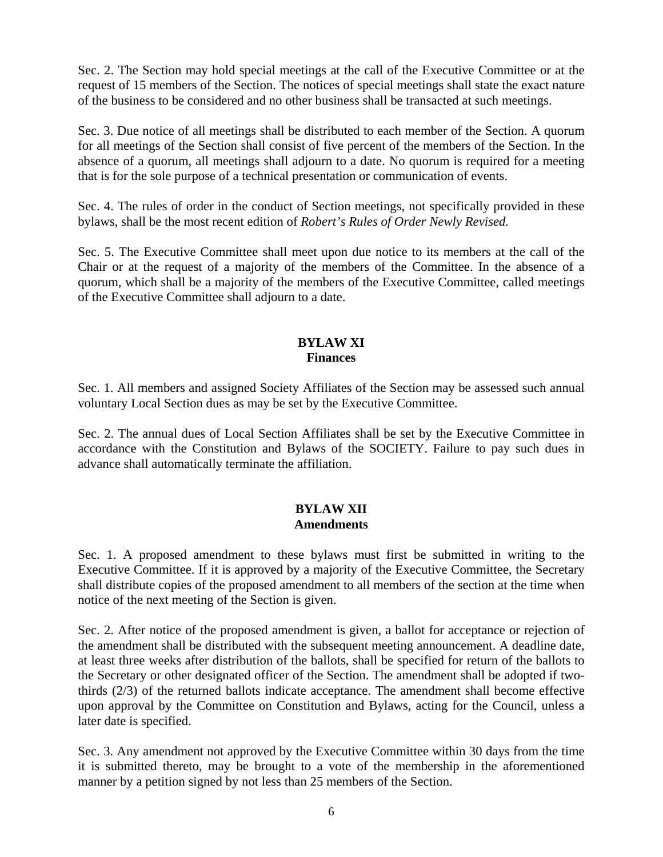Sec. 2. The Section may hold special meetings at the call of the Executive Committee or at the request of 15 members of the Section. The notices of special meetings shall state the exact nature of the business to be considered and no other business shall be transacted at such meetings.

Sec. 3. Due notice of all meetings shall be distributed to each member of the Section. A quorum for all meetings of the Section shall consist of five percent of the members of the Section. In the absence of a quorum, all meetings shall adjourn to a date. No quorum is required for a meeting that is for the sole purpose of a technical presentation or communication of events.

Sec. 4. The rules of order in the conduct of Section meetings, not specifically provided in these bylaws, shall be the most recent edition of *Robert's Rules of Order Newly Revised.*

Sec. 5. The Executive Committee shall meet upon due notice to its members at the call of the Chair or at the request of a majority of the members of the Committee. In the absence of a quorum, which shall be a majority of the members of the Executive Committee, called meetings of the Executive Committee shall adjourn to a date.

#### **BYLAW XI Finances**

Sec. 1. All members and assigned Society Affiliates of the Section may be assessed such annual voluntary Local Section dues as may be set by the Executive Committee.

Sec. 2. The annual dues of Local Section Affiliates shall be set by the Executive Committee in accordance with the Constitution and Bylaws of the SOCIETY. Failure to pay such dues in advance shall automatically terminate the affiliation.

### **BYLAW XII Amendments**

Sec. 1. A proposed amendment to these bylaws must first be submitted in writing to the Executive Committee. If it is approved by a majority of the Executive Committee, the Secretary shall distribute copies of the proposed amendment to all members of the section at the time when notice of the next meeting of the Section is given.

Sec. 2. After notice of the proposed amendment is given, a ballot for acceptance or rejection of the amendment shall be distributed with the subsequent meeting announcement. A deadline date, at least three weeks after distribution of the ballots, shall be specified for return of the ballots to the Secretary or other designated officer of the Section. The amendment shall be adopted if twothirds (2/3) of the returned ballots indicate acceptance. The amendment shall become effective upon approval by the Committee on Constitution and Bylaws, acting for the Council, unless a later date is specified.

Sec. 3. Any amendment not approved by the Executive Committee within 30 days from the time it is submitted thereto, may be brought to a vote of the membership in the aforementioned manner by a petition signed by not less than 25 members of the Section.